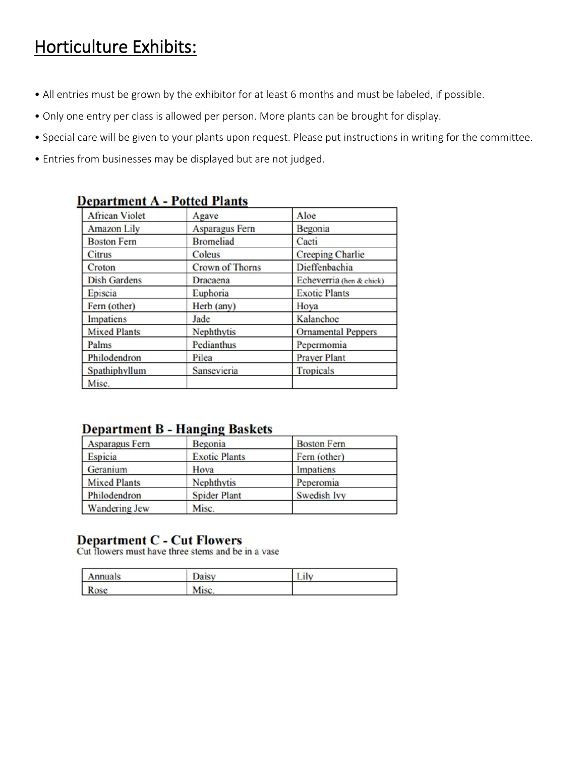## Horticulture Exhibits:

- All entries must be grown by the exhibitor for at least 6 months and must be labeled, if possible.
- Only one entry per class is allowed per person. More plants can be brought for display.
- Special care will be given to your plants upon request. Please put instructions in writing for the committee.
- Entries from businesses may be displayed but are not judged.

| <b>African Violet</b> | Agave                  | Aloe                      |
|-----------------------|------------------------|---------------------------|
| <b>Amazon Lily</b>    | <b>Asparagus Fern</b>  | Begonia                   |
| <b>Boston Fern</b>    | <b>Bromeliad</b>       | Cacti                     |
| Citrus                | Coleus                 | <b>Creeping Charlie</b>   |
| Croton                | <b>Crown of Thorns</b> | Dieffenbachia             |
| <b>Dish Gardens</b>   | Dracaena               | Echeverria (hen & chick)  |
| Episcia               | Euphoria               | <b>Exotic Plants</b>      |
| Fern (other)          | Herb (any)             | Hoya                      |
| Impatiens             | Jade                   | Kalanchoe                 |
| <b>Mixed Plants</b>   | Nephthytis             | <b>Ornamental Peppers</b> |
| Palms                 | Pedianthus             | Pepermomia                |
| Philodendron          | Pilea                  | <b>Prayer Plant</b>       |
| Spathiphyllum         | Sansevieria            | <b>Tropicals</b>          |
| Misc.                 |                        |                           |

#### **Department A - Potted Plants**

### **Department B - Hanging Baskets**

| <b>Asparagus Fern</b> | Begonia              | <b>Boston Fern</b> |
|-----------------------|----------------------|--------------------|
| Espicia               | <b>Exotic Plants</b> | Fern (other)       |
| Geranium              | Hoya                 | Impatiens          |
| <b>Mixed Plants</b>   | Nephthytis           | Peperomia          |
| Philodendron          | <b>Spider Plant</b>  | Swedish Ivy        |
| <b>Wandering Jew</b>  | Misc.                |                    |

# **Department C - Cut Flowers**<br>Cut flowers must have three stems and be in a vase

| I<br>Annuals   |      |  |
|----------------|------|--|
| L<br><b>TO</b> | Misc |  |